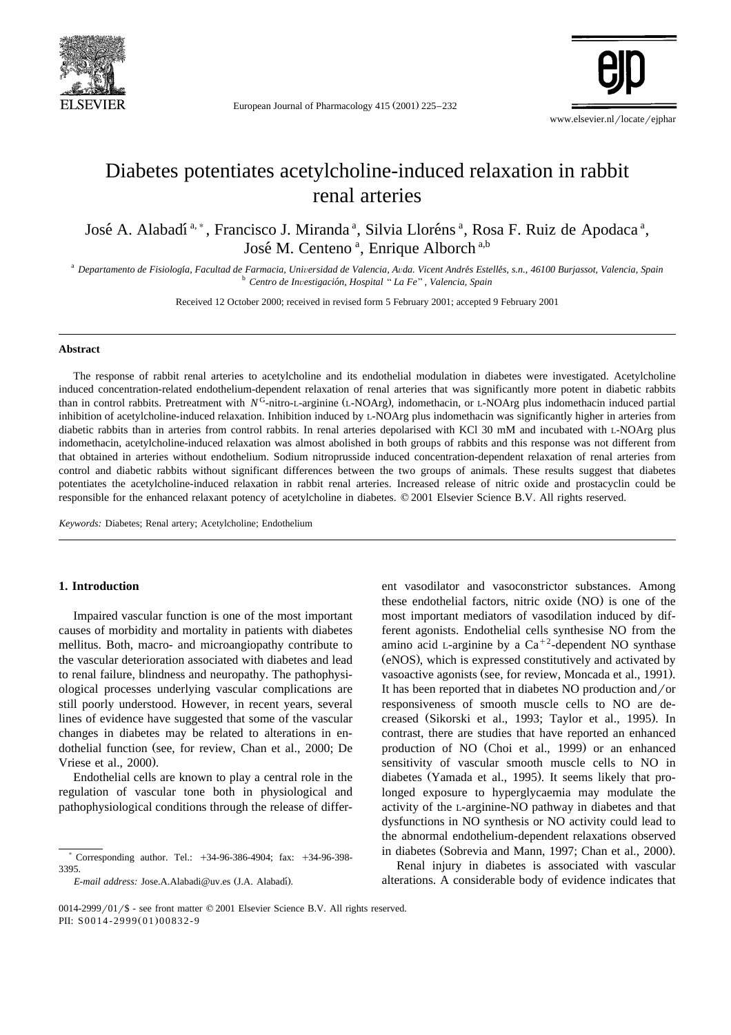

European Journal of Pharmacology 415 (2001) 225-232



# Diabetes potentiates acetylcholine-induced relaxation in rabbit renal arteries

José A. Alabadí<sup>a, \*</sup>, Francisco J. Miranda <sup>a</sup>, Silvia Lloréns <sup>a</sup>, Rosa F. Ruiz de Apodaca <sup>a</sup>, José M. Centeno<sup>a</sup>, Enrique Alborch<sup>a,b</sup>

<sup>a</sup> Departamento de Fisiología, Facultad de Farmacia, Universidad de Valencia, Avda. Vicent Andrés Estellés, s.n., 46100 Burjassot, Valencia, Spain<br><sup>b</sup> Centro de Investigación, Hospital "La Fe", Valencia, Spain

Received 12 October 2000; received in revised form 5 February 2001; accepted 9 February 2001

## **Abstract**

The response of rabbit renal arteries to acetylcholine and its endothelial modulation in diabetes were investigated. Acetylcholine induced concentration-related endothelium-dependent relaxation of renal arteries that was significantly more potent in diabetic rabbits than in control rabbits. Pretreatment with *N*<sup>G</sup>-nitro-L-arginine (L-NOArg), indomethacin, or L-NOArg plus indomethacin induced partial inhibition of acetylcholine-induced relaxation. Inhibition induced by L-NOArg plus indomethacin was significantly higher in arteries from diabetic rabbits than in arteries from control rabbits. In renal arteries depolarised with KCl 30 mM and incubated with L-NOArg plus indomethacin, acetylcholine-induced relaxation was almost abolished in both groups of rabbits and this response was not different from that obtained in arteries without endothelium. Sodium nitroprusside induced concentration-dependent relaxation of renal arteries from control and diabetic rabbits without significant differences between the two groups of animals. These results suggest that diabetes potentiates the acetylcholine-induced relaxation in rabbit renal arteries. Increased release of nitric oxide and prostacyclin could be responsible for the enhanced relaxant potency of acetylcholine in diabetes. © 2001 Elsevier Science B.V. All rights reserved.

*Keywords:* Diabetes; Renal artery; Acetylcholine; Endothelium

# **1. Introduction**

Impaired vascular function is one of the most important causes of morbidity and mortality in patients with diabetes mellitus. Both, macro- and microangiopathy contribute to the vascular deterioration associated with diabetes and lead to renal failure, blindness and neuropathy. The pathophysiological processes underlying vascular complications are still poorly understood. However, in recent years, several lines of evidence have suggested that some of the vascular changes in diabetes may be related to alterations in endothelial function (see, for review, Chan et al., 2000; De Vriese et al., 2000).

Endothelial cells are known to play a central role in the regulation of vascular tone both in physiological and pathophysiological conditions through the release of different vasodilator and vasoconstrictor substances. Among these endothelial factors, nitric oxide (NO) is one of the most important mediators of vasodilation induced by different agonists. Endothelial cells synthesise NO from the amino acid L-arginine by a  $Ca^{+2}$ -dependent NO synthase (eNOS), which is expressed constitutively and activated by vasoactive agonists (see, for review, Moncada et al., 1991). It has been reported that in diabetes NO production and / or responsiveness of smooth muscle cells to NO are decreased (Sikorski et al., 1993; Taylor et al., 1995). In contrast, there are studies that have reported an enhanced production of NO (Choi et al., 1999) or an enhanced sensitivity of vascular smooth muscle cells to NO in diabetes (Yamada et al., 1995). It seems likely that prolonged exposure to hyperglycaemia may modulate the activity of the L-arginine-NO pathway in diabetes and that dysfunctions in NO synthesis or NO activity could lead to the abnormal endothelium-dependent relaxations observed in diabetes (Sobrevia and Mann, 1997; Chan et al., 2000).

Renal injury in diabetes is associated with vascular alterations. A considerable body of evidence indicates that

Corresponding author. Tel.: +34-96-386-4904; fax: +34-96-398-3395.

*E-mail address: Jose.A.Alabadi@uv.es (J.A. Alabadí).*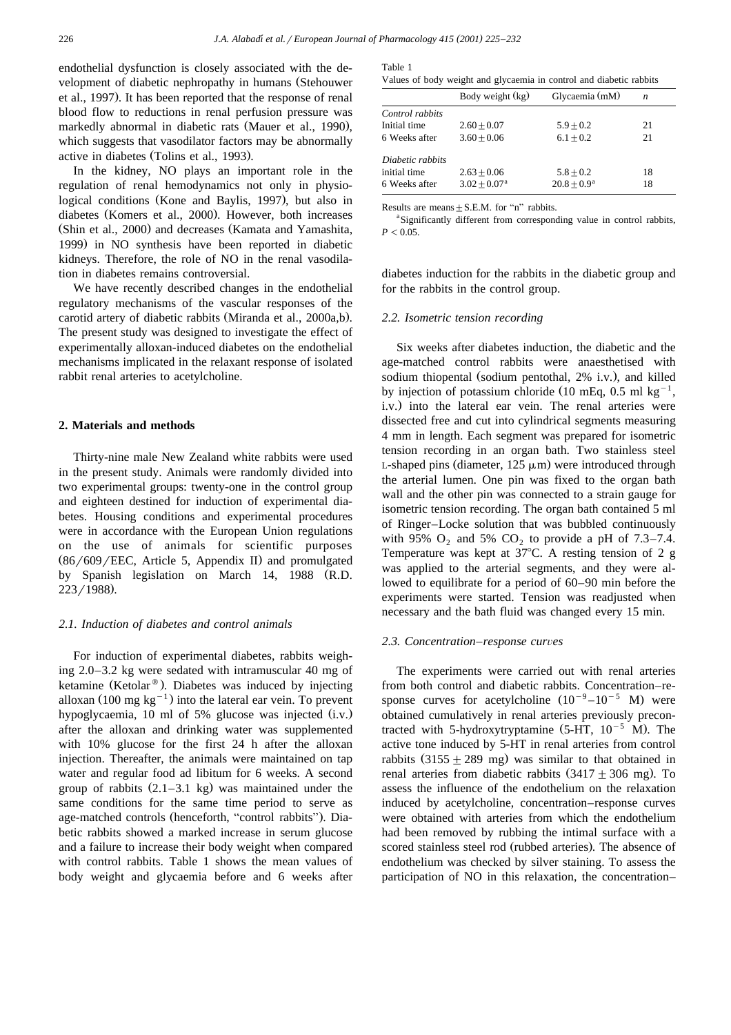endothelial dysfunction is closely associated with the development of diabetic nephropathy in humans (Stehouwer et al., 1997). It has been reported that the response of renal blood flow to reductions in renal perfusion pressure was markedly abnormal in diabetic rats (Mauer et al., 1990), which suggests that vasodilator factors may be abnormally active in diabetes (Tolins et al., 1993).

In the kidney, NO plays an important role in the regulation of renal hemodynamics not only in physiological conditions (Kone and Baylis, 1997), but also in diabetes (Komers et al., 2000). However, both increases (Shin et al., 2000) and decreases (Kamata and Yamashita, 1999) in NO synthesis have been reported in diabetic kidneys. Therefore, the role of NO in the renal vasodilation in diabetes remains controversial.

We have recently described changes in the endothelial regulatory mechanisms of the vascular responses of the carotid artery of diabetic rabbits (Miranda et al., 2000a,b). The present study was designed to investigate the effect of experimentally alloxan-induced diabetes on the endothelial mechanisms implicated in the relaxant response of isolated rabbit renal arteries to acetylcholine.

## **2. Materials and methods**

Thirty-nine male New Zealand white rabbits were used in the present study. Animals were randomly divided into two experimental groups: twenty-one in the control group and eighteen destined for induction of experimental diabetes. Housing conditions and experimental procedures were in accordance with the European Union regulations on the use of animals for scientific purposes  $(86/609/EEC,$  Article 5, Appendix II) and promulgated by Spanish legislation on March 14, 1988 (R.D.  $223/1988$ .

### *2.1. Induction of diabetes and control animals*

For induction of experimental diabetes, rabbits weighing 2.0–3.2 kg were sedated with intramuscular 40 mg of ketamine (Ketolar<sup>®</sup>). Diabetes was induced by injecting alloxan  $(100 \text{ mg kg}^{-1})$  into the lateral ear vein. To prevent hypoglycaemia, 10 ml of 5% glucose was injected  $(i.v.)$ after the alloxan and drinking water was supplemented with 10% glucose for the first 24 h after the alloxan injection. Thereafter, the animals were maintained on tap water and regular food ad libitum for 6 weeks. A second group of rabbits  $(2.1-3.1 \text{ kg})$  was maintained under the same conditions for the same time period to serve as age-matched controls (henceforth, "control rabbits"). Diabetic rabbits showed a marked increase in serum glucose and a failure to increase their body weight when compared with control rabbits. Table 1 shows the mean values of body weight and glycaemia before and 6 weeks after

Values of body weight and glycaemia in control and diabetic rabbits

|                  | Body weight (kg)           | Glycaemia (mM) | n  |
|------------------|----------------------------|----------------|----|
| Control rabbits  |                            |                |    |
| Initial time     | $2.60 + 0.07$              | $5.9 + 0.2$    | 21 |
| 6 Weeks after    | $3.60 + 0.06$              | $6.1 + 0.2$    | 21 |
| Diabetic rabbits |                            |                |    |
| initial time     | $2.63 + 0.06$              | $5.8 + 0.2$    | 18 |
| 6 Weeks after    | $3.02 + 0.07$ <sup>a</sup> | $20.8 + 0.9^a$ | 18 |

Results are means  $+ S.E.M.$  for "n" rabbits.

<sup>a</sup> Significantly different from corresponding value in control rabbits,  $P < 0.05$ .

diabetes induction for the rabbits in the diabetic group and for the rabbits in the control group.

#### *2.2. Isometric tension recording*

Six weeks after diabetes induction, the diabetic and the age-matched control rabbits were anaesthetised with sodium thiopental (sodium pentothal, 2% i.v.), and killed by injection of potassium chloride (10 mEq, 0.5 ml kg<sup>-1</sup>, i.v.) into the lateral ear vein. The renal arteries were dissected free and cut into cylindrical segments measuring 4 mm in length. Each segment was prepared for isometric tension recording in an organ bath. Two stainless steel L-shaped pins (diameter,  $125 \mu m$ ) were introduced through the arterial lumen. One pin was fixed to the organ bath wall and the other pin was connected to a strain gauge for isometric tension recording. The organ bath contained 5 ml of Ringer–Locke solution that was bubbled continuously with 95%  $O_2$  and 5%  $CO_2$  to provide a pH of 7.3–7.4. Temperature was kept at  $37^{\circ}$ C. A resting tension of 2 g was applied to the arterial segments, and they were allowed to equilibrate for a period of 60–90 min before the experiments were started. Tension was readjusted when necessary and the bath fluid was changed every 15 min.

## 2.3. Concentration–response curves

The experiments were carried out with renal arteries from both control and diabetic rabbits. Concentration–response curves for acetylcholine  $(10^{-9} - 10^{-5} \text{ M})$  were obtained cumulatively in renal arteries previously precontracted with 5-hydroxytryptamine  $(5-HT, 10^{-5} M)$ . The active tone induced by 5-HT in renal arteries from control rabbits  $(3155 \pm 289 \text{ mg})$  was similar to that obtained in renal arteries from diabetic rabbits  $(3417 \pm 306 \text{ mg})$ . To assess the influence of the endothelium on the relaxation induced by acetylcholine, concentration–response curves were obtained with arteries from which the endothelium had been removed by rubbing the intimal surface with a scored stainless steel rod (rubbed arteries). The absence of endothelium was checked by silver staining. To assess the participation of NO in this relaxation, the concentration–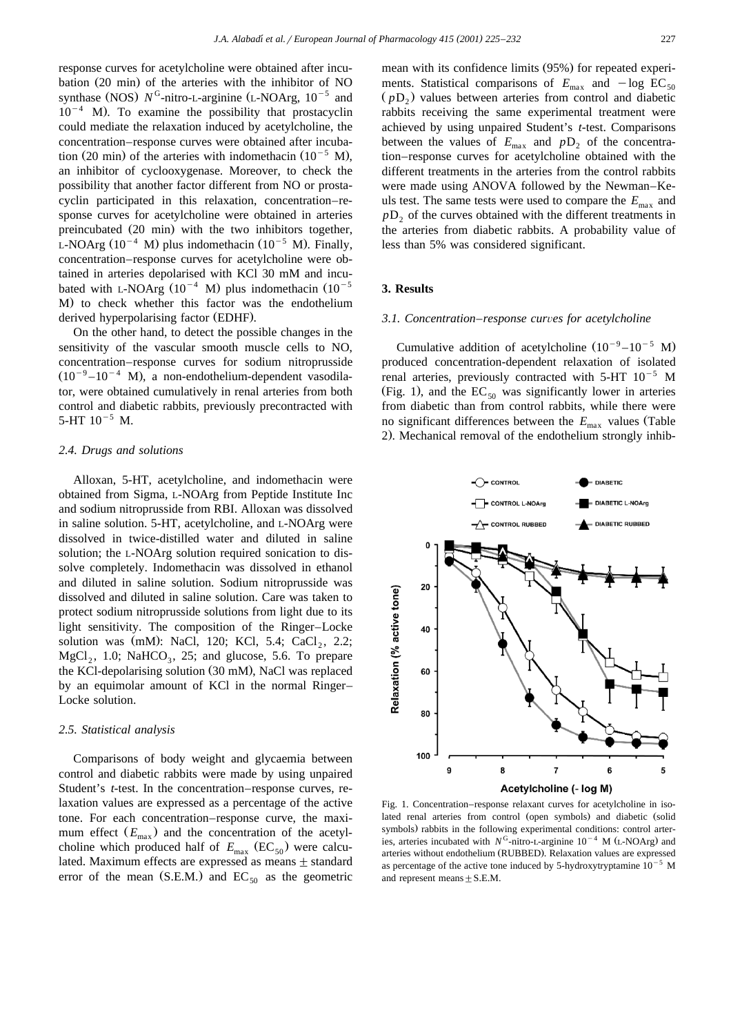response curves for acetylcholine were obtained after incubation  $(20 \text{ min})$  of the arteries with the inhibitor of NO synthase (NOS)  $N^G$ -nitro-L-arginine (L-NOArg,  $10^{-5}$  and  $10^{-4}$  M). To examine the possibility that prostacyclin could mediate the relaxation induced by acetylcholine, the concentration–response curves were obtained after incubation (20 min) of the arteries with indomethacin  $(10^{-5}$  M), an inhibitor of cyclooxygenase. Moreover, to check the possibility that another factor different from NO or prostacyclin participated in this relaxation, concentration–response curves for acetylcholine were obtained in arteries preincubated (20 min) with the two inhibitors together, L-NOArg  $(10^{-4}$  M) plus indomethacin  $(10^{-5}$  M). Finally, concentration–response curves for acetylcholine were obtained in arteries depolarised with KCl 30 mM and incubated with L-NOArg  $(10^{-4}$  M) plus indomethacin  $(10^{-5}$ M) to check whether this factor was the endothelium derived hyperpolarising factor (EDHF).

On the other hand, to detect the possible changes in the sensitivity of the vascular smooth muscle cells to NO, concentration–response curves for sodium nitroprusside  $(10^{-9} - 10^{-4}$  M), a non-endothelium-dependent vasodilator, were obtained cumulatively in renal arteries from both control and diabetic rabbits, previously precontracted with 5-HT  $10^{-5}$  M.

# *2.4. Drugs and solutions*

Alloxan, 5-HT, acetylcholine, and indomethacin were obtained from Sigma, L-NOArg from Peptide Institute Inc and sodium nitroprusside from RBI. Alloxan was dissolved in saline solution. 5-HT, acetylcholine, and L-NOArg were dissolved in twice-distilled water and diluted in saline solution; the L-NOArg solution required sonication to dissolve completely. Indomethacin was dissolved in ethanol and diluted in saline solution. Sodium nitroprusside was dissolved and diluted in saline solution. Care was taken to protect sodium nitroprusside solutions from light due to its light sensitivity. The composition of the Ringer–Locke solution was (mM): NaCl, 120; KCl, 5.4; CaCl<sub>2</sub>, 2.2;  $MgCl<sub>2</sub>$ , 1.0; NaHCO<sub>3</sub>, 25; and glucose, 5.6. To prepare the KCl-depolarising solution (30 mM), NaCl was replaced by an equimolar amount of KCl in the normal Ringer– Locke solution.

## *2.5. Statistical analysis*

Comparisons of body weight and glycaemia between control and diabetic rabbits were made by using unpaired Student's *t*-test. In the concentration–response curves, relaxation values are expressed as a percentage of the active tone. For each concentration–response curve, the maximum effect  $(E_{\text{max}})$  and the concentration of the acetylcholine which produced half of  $E_{\text{max}}$  (EC<sub>50</sub>) were calculated. Maximum effects are expressed as means  $\pm$  standard error of the mean (S.E.M.) and  $EC_{50}$  as the geometric

mean with its confidence limits (95%) for repeated experiments. Statistical comparisons of  $E_{\text{max}}$  and  $-\log \text{EC}_{50}$  $(pD_2)$  values between arteries from control and diabetic rabbits receiving the same experimental treatment were achieved by using unpaired Student's *t*-test. Comparisons between the values of  $E_{\text{max}}$  and  $pD_2$  of the concentration–response curves for acetylcholine obtained with the different treatments in the arteries from the control rabbits were made using ANOVA followed by the Newman–Keuls test. The same tests were used to compare the  $E_{\text{max}}$  and  $pD<sub>2</sub>$  of the curves obtained with the different treatments in the arteries from diabetic rabbits. A probability value of less than 5% was considered significant.

# **3. Results**

### *3.1. Concentration–response curves for acetylcholine*

Cumulative addition of acetylcholine  $(10^{-9} - 10^{-5} \text{ M})$ produced concentration-dependent relaxation of isolated renal arteries, previously contracted with  $5-HT$   $10^{-5}$  M (Fig. 1), and the EC  $_{50}$  was significantly lower in arteries from diabetic than from control rabbits, while there were no significant differences between the  $E_{\text{max}}$  values (Table 2). Mechanical removal of the endothelium strongly inhib-



Fig. 1. Concentration–response relaxant curves for acetylcholine in isolated renal arteries from control (open symbols) and diabetic (solid symbols) rabbits in the following experimental conditions: control arteries, arteries incubated with  $N^G$ -nitro-L-arginine  $10^{-4}$  M (L-NOArg) and arteries without endothelium (RUBBED). Relaxation values are expressed as percentage of the active tone induced by 5-hydroxytryptamine  $10^{-5}$  M and represent means  $\pm$  S.E.M.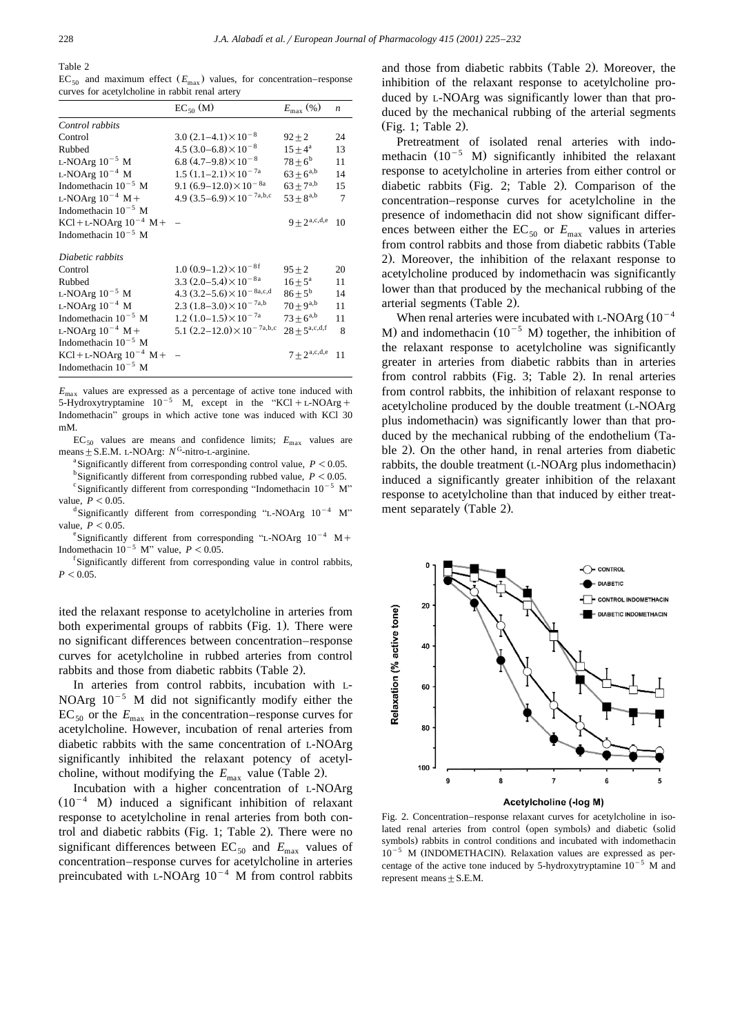Table 2

 $EC_{50}$  and maximum effect  $(E_{\text{max}})$  values, for concentration–response curves for acetylcholine in rabbit renal artery

|                             | $EC_{50}$ (M)                          | $E_{\rm max}$ (%)      | $\boldsymbol{n}$ |
|-----------------------------|----------------------------------------|------------------------|------------------|
| Control rabbits             |                                        |                        |                  |
| Control                     | $3.0(2.1-4.1)\times10^{-8}$            | $92 + 2$               | 24               |
| Rubbed                      | $4.5(3.0-6.8)\times10^{-8}$            | $15 + 4^a$             | 13               |
| L-NOArg $10^{-5}$ M         | 6.8 $(4.7-9.8)\times10^{-8}$           | $78 + 6^b$             | 11               |
| L-NOArg $10^{-4}$ M         | $1.5(1.1-2.1)\times10^{-7a}$           | $63 + 6^{a,b}$         | 14               |
| Indomethacin $10^{-5}$ M    | 9.1 $(6.9-12.0)\times10^{-8a}$         | $63 \pm 7^{a,b}$       | 15               |
| L-NOArg $10^{-4}$ M +       | 4.9 $(3.5-6.9) \times 10^{-7}$ a,b,c   | $53 + 8^{a,b}$         | 7                |
| Indomethacin $10^{-5}$ M    |                                        |                        |                  |
| $KCl + L-NOArg 10^{-4} M +$ |                                        | $9 + 2^{a,c,d,e}$      | 10               |
| Indomethacin $10^{-5}$ M    |                                        |                        |                  |
| Diabetic rabbits            |                                        |                        |                  |
| Control                     | $1.0 (0.9-1.2) \times 10^{-8f}$        | $95 + 2$               | 20               |
| Rubbed                      | 3.3 $(2.0-5.4) \times 10^{-8a}$        | $16 + 5^{\rm a}$       | 11               |
| L-NOArg $10^{-5}$ M         | 4.3 $(3.2 - 5.6) \times 10^{-8}$ a,c,d | $86+5^{\rm b}$         | 14               |
| L-NOArg $10^{-4}$ M         | 2.3 $(1.8-3.0)\times10^{-7a,b}$        | $70 + 9^{a,b}$         | 11               |
| Indomethacin $10^{-5}$ M    | $1.2(1.0-1.5)\times10^{-7a}$           | $73 \pm 6^{a,b}$       | 11               |
| L-NOArg $10^{-4}$ M +       | 5.1 $(2.2-12.0)\times10^{-7}$ a,b,c    | $28 + 5^{a,c,d,f}$     | 8                |
| Indomethacin $10^{-5}$ M    |                                        |                        |                  |
| $KCl + L-NOArg 10^{-4} M +$ |                                        | $7+2^{\text{a,c,d,e}}$ | 11               |
| Indomethacin $10^{-5}$ M    |                                        |                        |                  |

 $E_{\text{max}}$  values are expressed as a percentage of active tone induced with 5-Hydroxytryptamine  $10^{-5}$  M, except in the "KCl+L-NOArg+ Indomethacin" groups in which active tone was induced with KCl 30 mM.

 $EC_{50}$  values are means and confidence limits;  $E_{\text{max}}$  values are means  $\pm$  S.E.M. L-NOArg:  $N^G$ -nitro-L-arginine.

<sup>a</sup> Significantly different from corresponding control value,  $P < 0.05$ .

<sup>b</sup>Significantly different from corresponding rubbed value,  $P < 0.05$ .

<sup>c</sup> Significantly different from corresponding "Indomethacin  $10^{-5}$  M" value,  $P < 0.05$ .

 $d$ Significantly different from corresponding "L-NOArg  $10^{-4}$  M" value,  $P < 0.05$ .

<sup>e</sup>Significantly different from corresponding "L-NOArg  $10^{-4}$  M+ Indomethacin  $10^{-5}$  M" value,  $P < 0.05$ .

<sup>1</sup>Significantly different from corresponding value in control rabbits,  $P < 0.05$ .

ited the relaxant response to acetylcholine in arteries from both experimental groups of rabbits (Fig. 1). There were no significant differences between concentration–response curves for acetylcholine in rubbed arteries from control rabbits and those from diabetic rabbits (Table 2).

In arteries from control rabbits, incubation with L-NOArg  $10^{-5}$  M did not significantly modify either the  $EC_{50}$  or the  $E_{\text{max}}$  in the concentration–response curves for acetylcholine. However, incubation of renal arteries from diabetic rabbits with the same concentration of L-NOArg significantly inhibited the relaxant potency of acetylcholine, without modifying the  $E_{\text{max}}$  value (Table 2).

Incubation with a higher concentration of L-NOArg  $(10^{-4}$  M) induced a significant inhibition of relaxant response to acetylcholine in renal arteries from both control and diabetic rabbits (Fig. 1; Table 2). There were no significant differences between  $EC_{50}$  and  $E_{\text{max}}$  values of concentration–response curves for acetylcholine in arteries preincubated with L-NOArg  $10^{-4}$  M from control rabbits

and those from diabetic rabbits (Table 2). Moreover, the inhibition of the relaxant response to acetylcholine produced by L-NOArg was significantly lower than that produced by the mechanical rubbing of the arterial segments  $(Fig. 1; Table 2).$ 

Pretreatment of isolated renal arteries with indomethacin  $(10^{-5}$  M) significantly inhibited the relaxant response to acetylcholine in arteries from either control or diabetic rabbits (Fig. 2; Table 2). Comparison of the concentration–response curves for acetylcholine in the presence of indomethacin did not show significant differences between either the  $EC_{50}$  or  $E_{\text{max}}$  values in arteries from control rabbits and those from diabetic rabbits (Table 2). Moreover, the inhibition of the relaxant response to acetylcholine produced by indomethacin was significantly lower than that produced by the mechanical rubbing of the arterial segments (Table 2).

When renal arteries were incubated with L-NOArg  $(10^{-4}$ M) and indomethacin  $(10^{-5}$  M) together, the inhibition of the relaxant response to acetylcholine was significantly greater in arteries from diabetic rabbits than in arteries from control rabbits (Fig. 3; Table 2). In renal arteries from control rabbits, the inhibition of relaxant response to acetylcholine produced by the double treatment (L-NOArg plus indomethacin) was significantly lower than that produced by the mechanical rubbing of the endothelium (Table 2). On the other hand, in renal arteries from diabetic rabbits, the double treatment (L-NOArg plus indomethacin) induced a significantly greater inhibition of the relaxant response to acetylcholine than that induced by either treatment separately (Table 2).



Fig. 2. Concentration–response relaxant curves for acetylcholine in isolated renal arteries from control (open symbols) and diabetic (solid symbols) rabbits in control conditions and incubated with indomethacin  $10^{-5}$  M (INDOMETHACIN). Relaxation values are expressed as percentage of the active tone induced by 5-hydroxytryptamine  $10^{-5}$  M and represent means  $+ S.E.M.$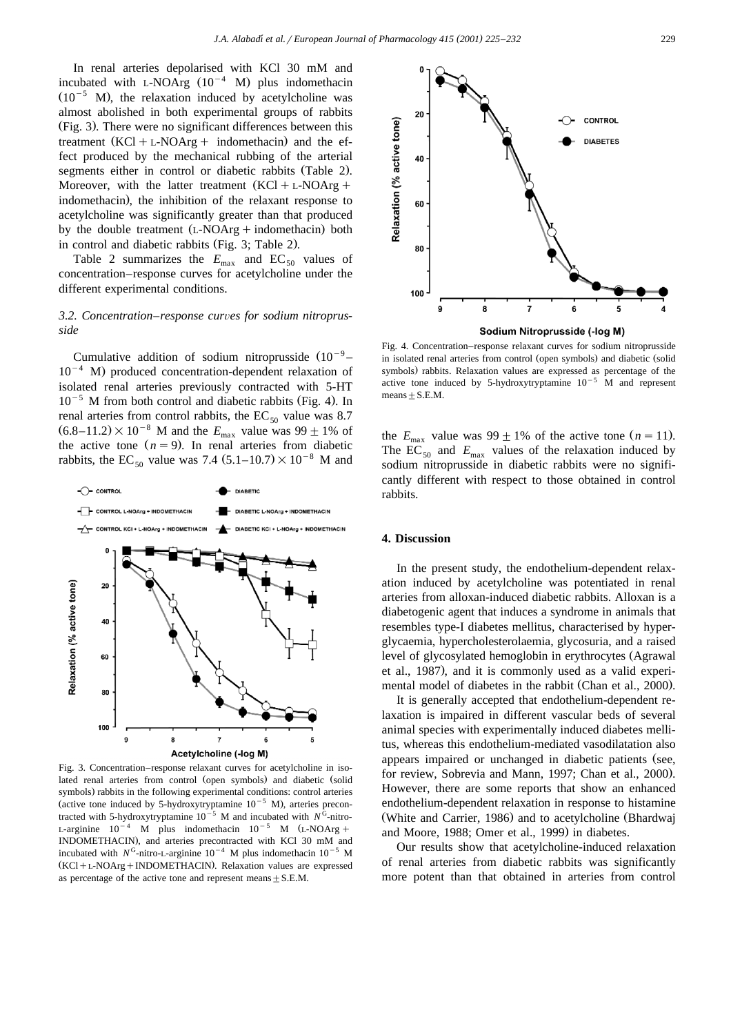In renal arteries depolarised with KCl 30 mM and incubated with L-NOArg  $(10^{-4}$  M) plus indomethacin  $(10^{-5}$  M), the relaxation induced by acetylcholine was almost abolished in both experimental groups of rabbits (Fig. 3). There were no significant differences between this treatment  $(KCl + L-NOArg + indometer)$  and the effect produced by the mechanical rubbing of the arterial segments either in control or diabetic rabbits (Table 2). Moreover, with the latter treatment  $(KCl + L-NOArg +$ indomethacin), the inhibition of the relaxant response to acetylcholine was significantly greater than that produced by the double treatment  $(L-NOArg + indomethacin)$  both in control and diabetic rabbits (Fig. 3; Table 2).

Table 2 summarizes the  $E_{\text{max}}$  and  $EC_{50}$  values of concentration–response curves for acetylcholine under the different experimental conditions.

# *3.2. Concentration–response curves for sodium nitroprusside*

Cumulative addition of sodium nitroprusside  $(10^{-9} 10^{-4}$  M) produced concentration-dependent relaxation of isolated renal arteries previously contracted with 5-HT  $10^{-5}$  M from both control and diabetic rabbits (Fig. 4). In renal arteries from control rabbits, the  $EC_{50}$  value was 8.7  $(6.8-11.2) \times 10^{-8}$  M and the  $E_{\text{max}}$  value was 99  $\pm$  1% of the active tone  $(n = 9)$ . In renal arteries from diabetic rabbits, the EC<sub>50</sub> value was 7.4  $(5.1-10.7) \times 10^{-8}$  M and



Fig. 3. Concentration–response relaxant curves for acetylcholine in isolated renal arteries from control (open symbols) and diabetic (solid symbols) rabbits in the following experimental conditions: control arteries (active tone induced by 5-hydroxytryptamine  $10^{-5}$  M), arteries precontracted with 5-hydroxytryptamine  $10^{-5}$  M and incubated with  $N^{\overline{Q}}$ -nitro-<br>L-arginine  $10^{-4}$  M plus indomethacin  $10^{-5}$  M (L-NOArg + INDOMETHACIN), and arteries precontracted with KCl 30 mM and incubated with  $N^{G}$ -nitro-L-arginine  $10^{-4}$  M plus indomethacin  $10^{-5}$  M  $(KCl + L-NOArg + INDOMETHACIN)$ . Relaxation values are expressed as percentage of the active tone and represent means  $+ S.E.M.$ 



Fig. 4. Concentration–response relaxant curves for sodium nitroprusside in isolated renal arteries from control (open symbols) and diabetic (solid symbols) rabbits. Relaxation values are expressed as percentage of the active tone induced by 5-hydroxytryptamine  $10^{-5}$  M and represent  $means + S.E.M.$ 

the  $E_{\text{max}}$  value was 99  $\pm$  1% of the active tone (*n* = 11). The  $EC_{50}$  and  $E_{\text{max}}$  values of the relaxation induced by sodium nitroprusside in diabetic rabbits were no significantly different with respect to those obtained in control rabbits.

## **4. Discussion**

In the present study, the endothelium-dependent relaxation induced by acetylcholine was potentiated in renal arteries from alloxan-induced diabetic rabbits. Alloxan is a diabetogenic agent that induces a syndrome in animals that resembles type-I diabetes mellitus, characterised by hyperglycaemia, hypercholesterolaemia, glycosuria, and a raised level of glycosylated hemoglobin in erythrocytes (Agrawal et al., 1987), and it is commonly used as a valid experimental model of diabetes in the rabbit (Chan et al., 2000).

It is generally accepted that endothelium-dependent relaxation is impaired in different vascular beds of several animal species with experimentally induced diabetes mellitus, whereas this endothelium-mediated vasodilatation also appears impaired or unchanged in diabetic patients (see, for review, Sobrevia and Mann, 1997; Chan et al., 2000). However, there are some reports that show an enhanced endothelium-dependent relaxation in response to histamine (White and Carrier, 1986) and to acetylcholine (Bhardwaj and Moore, 1988; Omer et al., 1999) in diabetes.

Our results show that acetylcholine-induced relaxation of renal arteries from diabetic rabbits was significantly more potent than that obtained in arteries from control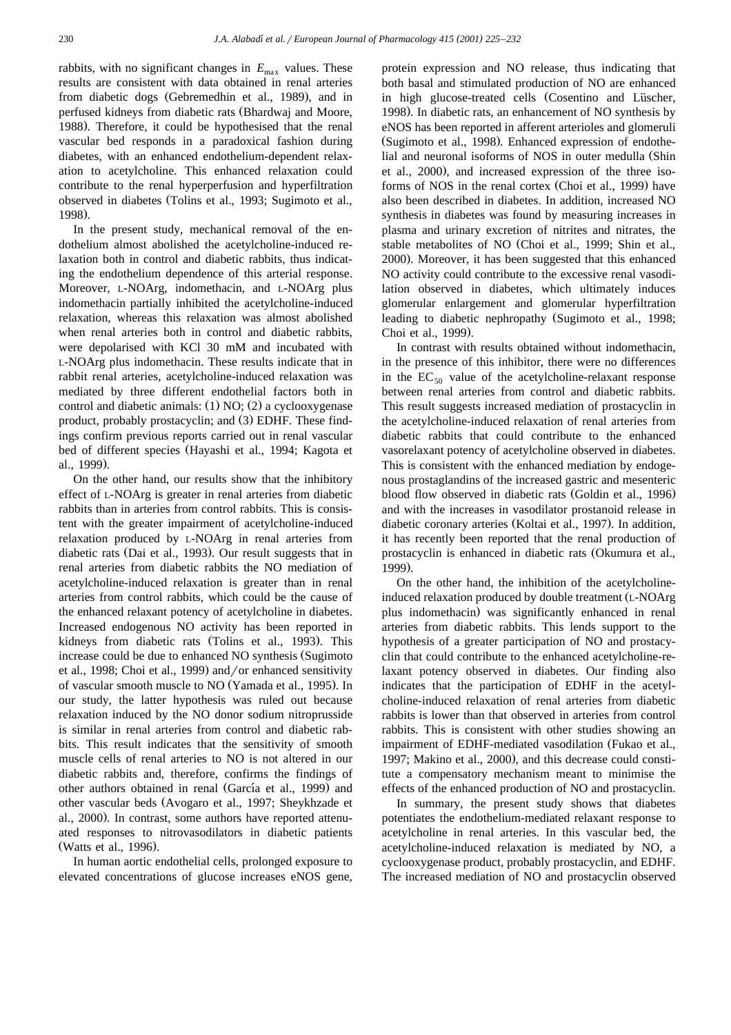rabbits, with no significant changes in  $E_{\text{max}}$  values. These results are consistent with data obtained in renal arteries from diabetic dogs (Gebremedhin et al., 1989), and in perfused kidneys from diabetic rats (Bhardwaj and Moore, 1988). Therefore, it could be hypothesised that the renal vascular bed responds in a paradoxical fashion during diabetes, with an enhanced endothelium-dependent relaxation to acetylcholine. This enhanced relaxation could contribute to the renal hyperperfusion and hyperfiltration observed in diabetes (Tolins et al., 1993; Sugimoto et al., 1998).

In the present study, mechanical removal of the endothelium almost abolished the acetylcholine-induced relaxation both in control and diabetic rabbits, thus indicating the endothelium dependence of this arterial response. Moreover, L-NOArg, indomethacin, and L-NOArg plus indomethacin partially inhibited the acetylcholine-induced relaxation, whereas this relaxation was almost abolished when renal arteries both in control and diabetic rabbits, were depolarised with KCl 30 mM and incubated with L-NOArg plus indomethacin. These results indicate that in rabbit renal arteries, acetylcholine-induced relaxation was mediated by three different endothelial factors both in control and diabetic animals:  $(1) NO$ ;  $(2) a cyclooxygenase$ product, probably prostacyclin; and (3) EDHF. These findings confirm previous reports carried out in renal vascular bed of different species (Hayashi et al., 1994; Kagota et al., 1999).

On the other hand, our results show that the inhibitory effect of L-NOArg is greater in renal arteries from diabetic rabbits than in arteries from control rabbits. This is consistent with the greater impairment of acetylcholine-induced relaxation produced by L-NOArg in renal arteries from diabetic rats (Dai et al., 1993). Our result suggests that in renal arteries from diabetic rabbits the NO mediation of acetylcholine-induced relaxation is greater than in renal arteries from control rabbits, which could be the cause of the enhanced relaxant potency of acetylcholine in diabetes. Increased endogenous NO activity has been reported in kidneys from diabetic rats (Tolins et al., 1993). This increase could be due to enhanced NO synthesis (Sugimoto et al., 1998; Choi et al., 1999) and/or enhanced sensitivity of vascular smooth muscle to NO (Yamada et al., 1995). In our study, the latter hypothesis was ruled out because relaxation induced by the NO donor sodium nitroprusside is similar in renal arteries from control and diabetic rabbits. This result indicates that the sensitivity of smooth muscle cells of renal arteries to NO is not altered in our diabetic rabbits and, therefore, confirms the findings of other authors obtained in renal (García et al., 1999) and other vascular beds (Avogaro et al., 1997; Sheykhzade et al., 2000). In contrast, some authors have reported attenuated responses to nitrovasodilators in diabetic patients (Watts et al., 1996).

In human aortic endothelial cells, prolonged exposure to elevated concentrations of glucose increases eNOS gene,

protein expression and NO release, thus indicating that both basal and stimulated production of NO are enhanced in high glucose-treated cells (Cosentino and Lüscher, 1998). In diabetic rats, an enhancement of NO synthesis by eNOS has been reported in afferent arterioles and glomeruli (Sugimoto et al., 1998). Enhanced expression of endothelial and neuronal isoforms of NOS in outer medulla (Shin et al., 2000), and increased expression of the three isoforms of NOS in the renal cortex (Choi et al., 1999) have also been described in diabetes. In addition, increased NO synthesis in diabetes was found by measuring increases in plasma and urinary excretion of nitrites and nitrates, the stable metabolites of NO (Choi et al., 1999; Shin et al., 2000). Moreover, it has been suggested that this enhanced NO activity could contribute to the excessive renal vasodilation observed in diabetes, which ultimately induces glomerular enlargement and glomerular hyperfiltration leading to diabetic nephropathy (Sugimoto et al., 1998; Choi et al., 1999).

In contrast with results obtained without indomethacin, in the presence of this inhibitor, there were no differences in the  $EC_{50}$  value of the acetylcholine-relaxant response between renal arteries from control and diabetic rabbits. This result suggests increased mediation of prostacyclin in the acetylcholine-induced relaxation of renal arteries from diabetic rabbits that could contribute to the enhanced vasorelaxant potency of acetylcholine observed in diabetes. This is consistent with the enhanced mediation by endogenous prostaglandins of the increased gastric and mesenteric blood flow observed in diabetic rats (Goldin et al., 1996) and with the increases in vasodilator prostanoid release in diabetic coronary arteries (Koltai et al., 1997). In addition, it has recently been reported that the renal production of prostacyclin is enhanced in diabetic rats Okumura et al., Ž 1999).

On the other hand, the inhibition of the acetylcholineinduced relaxation produced by double treatment (L-NOArg) plus indomethacin) was significantly enhanced in renal arteries from diabetic rabbits. This lends support to the hypothesis of a greater participation of NO and prostacyclin that could contribute to the enhanced acetylcholine-relaxant potency observed in diabetes. Our finding also indicates that the participation of EDHF in the acetylcholine-induced relaxation of renal arteries from diabetic rabbits is lower than that observed in arteries from control rabbits. This is consistent with other studies showing an impairment of EDHF-mediated vasodilation (Fukao et al., 1997; Makino et al., 2000), and this decrease could constitute a compensatory mechanism meant to minimise the effects of the enhanced production of NO and prostacyclin.

In summary, the present study shows that diabetes potentiates the endothelium-mediated relaxant response to acetylcholine in renal arteries. In this vascular bed, the acetylcholine-induced relaxation is mediated by NO, a cyclooxygenase product, probably prostacyclin, and EDHF. The increased mediation of NO and prostacyclin observed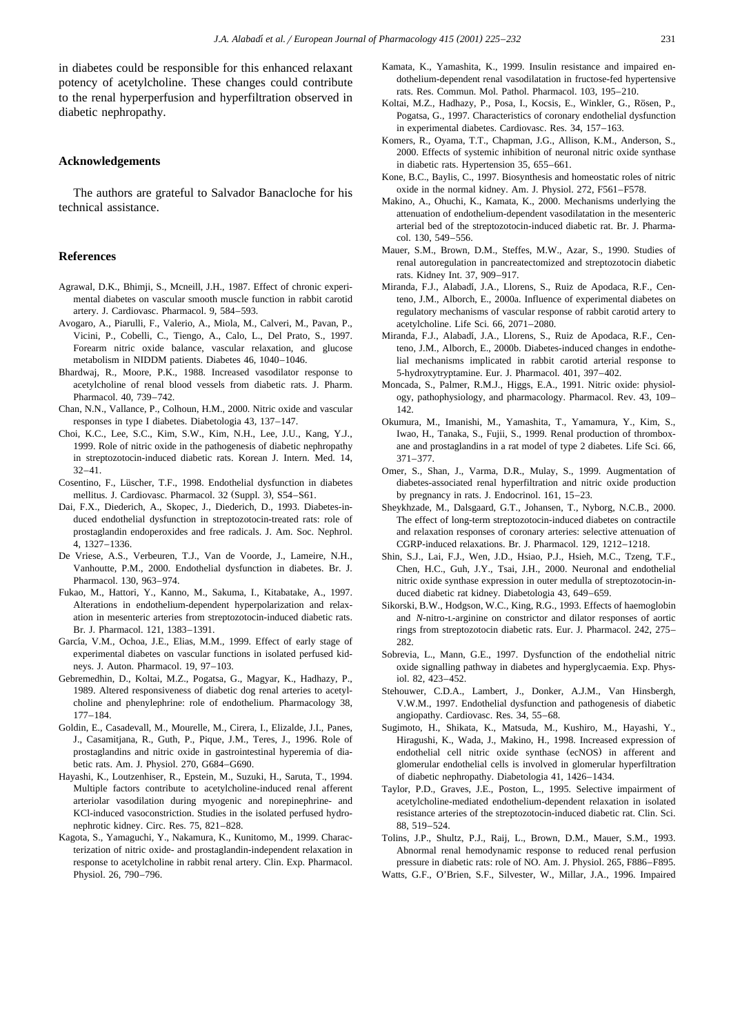in diabetes could be responsible for this enhanced relaxant potency of acetylcholine. These changes could contribute to the renal hyperperfusion and hyperfiltration observed in diabetic nephropathy.

### **Acknowledgements**

The authors are grateful to Salvador Banacloche for his technical assistance.

# **References**

- Agrawal, D.K., Bhimji, S., Mcneill, J.H., 1987. Effect of chronic experimental diabetes on vascular smooth muscle function in rabbit carotid artery. J. Cardiovasc. Pharmacol. 9, 584–593.
- Avogaro, A., Piarulli, F., Valerio, A., Miola, M., Calveri, M., Pavan, P., Vicini, P., Cobelli, C., Tiengo, A., Calo, L., Del Prato, S., 1997. Forearm nitric oxide balance, vascular relaxation, and glucose metabolism in NIDDM patients. Diabetes 46, 1040–1046.
- Bhardwaj, R., Moore, P.K., 1988. Increased vasodilator response to acetylcholine of renal blood vessels from diabetic rats. J. Pharm. Pharmacol. 40, 739–742.
- Chan, N.N., Vallance, P., Colhoun, H.M., 2000. Nitric oxide and vascular responses in type I diabetes. Diabetologia 43, 137–147.
- Choi, K.C., Lee, S.C., Kim, S.W., Kim, N.H., Lee, J.U., Kang, Y.J., 1999. Role of nitric oxide in the pathogenesis of diabetic nephropathy in streptozotocin-induced diabetic rats. Korean J. Intern. Med. 14, 32–41.
- Cosentino, F., Lüscher, T.F., 1998. Endothelial dysfunction in diabetes mellitus. J. Cardiovasc. Pharmacol. 32 (Suppl. 3), S54-S61.
- Dai, F.X., Diederich, A., Skopec, J., Diederich, D., 1993. Diabetes-induced endothelial dysfunction in streptozotocin-treated rats: role of prostaglandin endoperoxides and free radicals. J. Am. Soc. Nephrol. 4, 1327–1336.
- De Vriese, A.S., Verbeuren, T.J., Van de Voorde, J., Lameire, N.H., Vanhoutte, P.M., 2000. Endothelial dysfunction in diabetes. Br. J. Pharmacol. 130, 963–974.
- Fukao, M., Hattori, Y., Kanno, M., Sakuma, I., Kitabatake, A., 1997. Alterations in endothelium-dependent hyperpolarization and relaxation in mesenteric arteries from streptozotocin-induced diabetic rats. Br. J. Pharmacol. 121, 1383–1391.
- García, V.M., Ochoa, J.E., Elias, M.M., 1999. Effect of early stage of experimental diabetes on vascular functions in isolated perfused kidneys. J. Auton. Pharmacol. 19, 97–103.
- Gebremedhin, D., Koltai, M.Z., Pogatsa, G., Magyar, K., Hadhazy, P., 1989. Altered responsiveness of diabetic dog renal arteries to acetylcholine and phenylephrine: role of endothelium. Pharmacology 38, 177–184.
- Goldin, E., Casadevall, M., Mourelle, M., Cirera, I., Elizalde, J.I., Panes, J., Casamitjana, R., Guth, P., Pique, J.M., Teres, J., 1996. Role of prostaglandins and nitric oxide in gastrointestinal hyperemia of diabetic rats. Am. J. Physiol. 270, G684–G690.
- Hayashi, K., Loutzenhiser, R., Epstein, M., Suzuki, H., Saruta, T., 1994. Multiple factors contribute to acetylcholine-induced renal afferent arteriolar vasodilation during myogenic and norepinephrine- and KCl-induced vasoconstriction. Studies in the isolated perfused hydronephrotic kidney. Circ. Res. 75, 821–828.
- Kagota, S., Yamaguchi, Y., Nakamura, K., Kunitomo, M., 1999. Characterization of nitric oxide- and prostaglandin-independent relaxation in response to acetylcholine in rabbit renal artery. Clin. Exp. Pharmacol. Physiol. 26, 790–796.
- Kamata, K., Yamashita, K., 1999. Insulin resistance and impaired endothelium-dependent renal vasodilatation in fructose-fed hypertensive rats. Res. Commun. Mol. Pathol. Pharmacol. 103, 195–210.
- Koltai, M.Z., Hadhazy, P., Posa, I., Kocsis, E., Winkler, G., Rösen, P., Pogatsa, G., 1997. Characteristics of coronary endothelial dysfunction in experimental diabetes. Cardiovasc. Res. 34, 157–163.
- Komers, R., Oyama, T.T., Chapman, J.G., Allison, K.M., Anderson, S., 2000. Effects of systemic inhibition of neuronal nitric oxide synthase in diabetic rats. Hypertension 35, 655–661.
- Kone, B.C., Baylis, C., 1997. Biosynthesis and homeostatic roles of nitric oxide in the normal kidney. Am. J. Physiol. 272, F561–F578.
- Makino, A., Ohuchi, K., Kamata, K., 2000. Mechanisms underlying the attenuation of endothelium-dependent vasodilatation in the mesenteric arterial bed of the streptozotocin-induced diabetic rat. Br. J. Pharmacol. 130, 549–556.
- Mauer, S.M., Brown, D.M., Steffes, M.W., Azar, S., 1990. Studies of renal autoregulation in pancreatectomized and streptozotocin diabetic rats. Kidney Int. 37, 909–917.
- Miranda, F.J., Alabadí, J.A., Llorens, S., Ruiz de Apodaca, R.F., Centeno, J.M., Alborch, E., 2000a. Influence of experimental diabetes on regulatory mechanisms of vascular response of rabbit carotid artery to acetylcholine. Life Sci. 66, 2071–2080.
- Miranda, F.J., Alabadí, J.A., Llorens, S., Ruiz de Apodaca, R.F., Centeno, J.M., Alborch, E., 2000b. Diabetes-induced changes in endothelial mechanisms implicated in rabbit carotid arterial response to 5-hydroxytryptamine. Eur. J. Pharmacol. 401, 397–402.
- Moncada, S., Palmer, R.M.J., Higgs, E.A., 1991. Nitric oxide: physiology, pathophysiology, and pharmacology. Pharmacol. Rev. 43, 109– 142.
- Okumura, M., Imanishi, M., Yamashita, T., Yamamura, Y., Kim, S., Iwao, H., Tanaka, S., Fujii, S., 1999. Renal production of thromboxane and prostaglandins in a rat model of type 2 diabetes. Life Sci. 66, 371–377.
- Omer, S., Shan, J., Varma, D.R., Mulay, S., 1999. Augmentation of diabetes-associated renal hyperfiltration and nitric oxide production by pregnancy in rats. J. Endocrinol. 161, 15–23.
- Sheykhzade, M., Dalsgaard, G.T., Johansen, T., Nyborg, N.C.B., 2000. The effect of long-term streptozotocin-induced diabetes on contractile and relaxation responses of coronary arteries: selective attenuation of CGRP-induced relaxations. Br. J. Pharmacol. 129, 1212–1218.
- Shin, S.J., Lai, F.J., Wen, J.D., Hsiao, P.J., Hsieh, M.C., Tzeng, T.F., Chen, H.C., Guh, J.Y., Tsai, J.H., 2000. Neuronal and endothelial nitric oxide synthase expression in outer medulla of streptozotocin-induced diabetic rat kidney. Diabetologia 43, 649–659.
- Sikorski, B.W., Hodgson, W.C., King, R.G., 1993. Effects of haemoglobin and *N*-nitro-L-arginine on constrictor and dilator responses of aortic rings from streptozotocin diabetic rats. Eur. J. Pharmacol. 242, 275– 282.
- Sobrevia, L., Mann, G.E., 1997. Dysfunction of the endothelial nitric oxide signalling pathway in diabetes and hyperglycaemia. Exp. Physiol. 82, 423–452.
- Stehouwer, C.D.A., Lambert, J., Donker, A.J.M., Van Hinsbergh, V.W.M., 1997. Endothelial dysfunction and pathogenesis of diabetic angiopathy. Cardiovasc. Res. 34, 55–68.
- Sugimoto, H., Shikata, K., Matsuda, M., Kushiro, M., Hayashi, Y., Hiragushi, K., Wada, J., Makino, H., 1998. Increased expression of endothelial cell nitric oxide synthase (ecNOS) in afferent and glomerular endothelial cells is involved in glomerular hyperfiltration of diabetic nephropathy. Diabetologia 41, 1426–1434.
- Taylor, P.D., Graves, J.E., Poston, L., 1995. Selective impairment of acetylcholine-mediated endothelium-dependent relaxation in isolated resistance arteries of the streptozotocin-induced diabetic rat. Clin. Sci. 88, 519–524.
- Tolins, J.P., Shultz, P.J., Raij, L., Brown, D.M., Mauer, S.M., 1993. Abnormal renal hemodynamic response to reduced renal perfusion pressure in diabetic rats: role of NO. Am. J. Physiol. 265, F886–F895.
- Watts, G.F., O'Brien, S.F., Silvester, W., Millar, J.A., 1996. Impaired